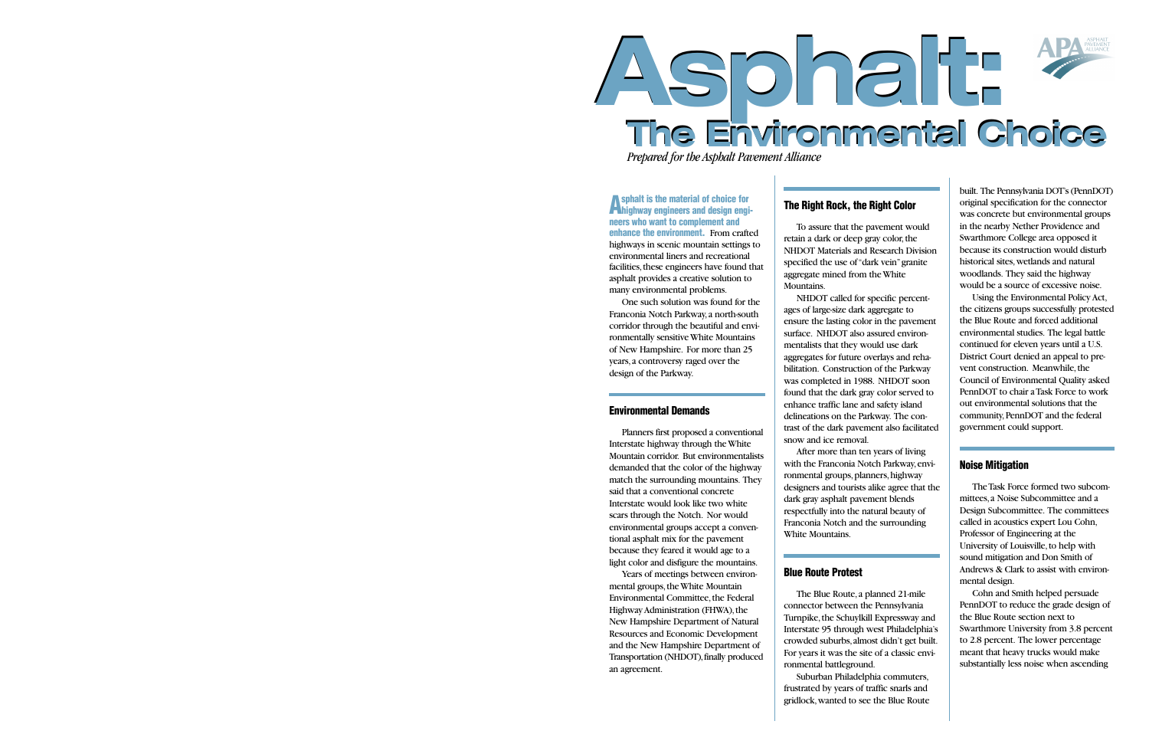# **Asphalt: The Environmental Choice Asphalt: The Environmental Choice**

*Prepared for the Asphalt Pavement Alliance*

**Asphalt is the material of choice for highway engineers and design engineers who want to complement and enhance the environment.** From crafted highways in scenic mountain settings to environmental liners and recreational facilities, these engineers have found that asphalt provides a creative solution to many environmental problems.

One such solution was found for the Franconia Notch Parkway,a north-south corridor through the beautiful and environmentally sensitive White Mountains of New Hampshire. For more than 25 years,a controversy raged over the design of the Parkway.

### **Environmental Demands**

Planners first proposed a conventional Interstate highway through the White Mountain corridor. But environmentalists demanded that the color of the highway match the surrounding mountains. They said that a conventional concrete Interstate would look like two white scars through the Notch. Nor would environmental groups accept a conventional asphalt mix for the pavement because they feared it would age to a light color and disfigure the mountains.

Years of meetings between environmental groups, the White Mountain Environmental Committee, the Federal Highway Administration (FHWA), the New Hampshire Department of Natural Resources and Economic Development and the New Hampshire Department of Transportation (NHDOT), finally produced an agreement.

### **The Right Rock, the Right Color**

To assure that the pavement would retain a dark or deep gray color, the NHDOT Materials and Research Division specified the use of "dark vein"granite aggregate mined from the White Mountains.

NHDOT called for specific percentages of large-size dark aggregate to ensure the lasting color in the pavement surface. NHDOT also assured environmentalists that they would use dark aggregates for future overlays and rehabilitation. Construction of the Parkway was completed in 1988. NHDOT soon found that the dark gray color served to enhance traffic lane and safety island delineations on the Parkway. The contrast of the dark pavement also facilitated snow and ice removal.

After more than ten years of living with the Franconia Notch Parkway,environmental groups, planners, highway designers and tourists alike agree that the dark gray asphalt pavement blends respectfully into the natural beauty of Franconia Notch and the surrounding White Mountains.

### **Blue Route Protest**

The Blue Route,a planned 21-mile connector between the Pennsylvania Turnpike, the Schuylkill Expressway and Interstate 95 through west Philadelphia's crowded suburbs,almost didn't get built. For years it was the site of a classic environmental battleground.

Suburban Philadelphia commuters, frustrated by years of traffic snarls and gridlock,wanted to see the Blue Route

built. The Pennsylvania DOT's (PennDOT) original specification for the connector was concrete but environmental groups in the nearby Nether Providence and Swarthmore College area opposed it because its construction would disturb historical sites,wetlands and natural woodlands. They said the highway would be a source of excessive noise.

Using the Environmental Policy Act, the citizens groups successfully protested the Blue Route and forced additional environmental studies. The legal battle continued for eleven years until a U.S. District Court denied an appeal to prevent construction. Meanwhile, the Council of Environmental Quality asked PennDOT to chair a Task Force to work out environmental solutions that the community, PennDOT and the federal government could support.

### **Noise Mitigation**

The Task Force formed two subcommittees,a Noise Subcommittee and a Design Subcommittee. The committees called in acoustics expert Lou Cohn, Professor of Engineering at the University of Louisville, to help with sound mitigation and Don Smith of Andrews & Clark to assist with environmental design.

Cohn and Smith helped persuade PennDOT to reduce the grade design of the Blue Route section next to Swarthmore University from 3.8 percent to 2.8 percent. The lower percentage meant that heavy trucks would make substantially less noise when ascending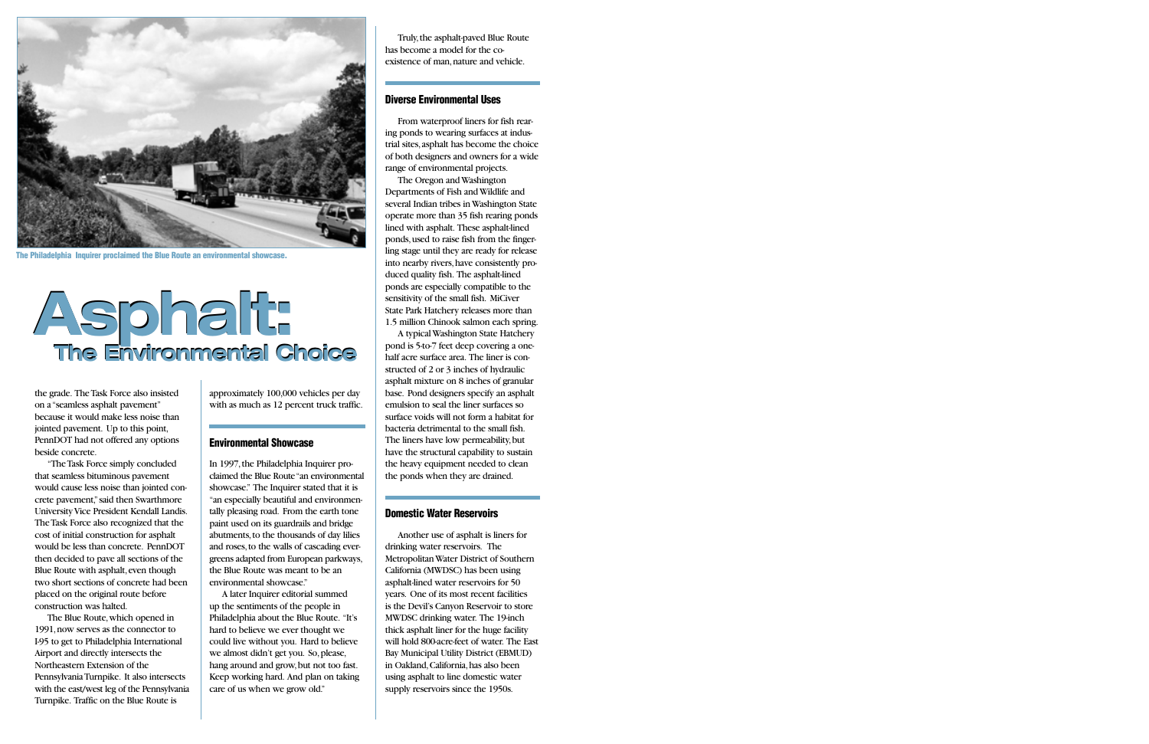

**The Philadelphia Inquirer proclaimed the Blue Route an environmental showcase.**

### **Asphalt: The Environmental Choice Asphalt: The Environmental Choice**

the grade. The Task Force also insisted on a "seamless asphalt pavement" because it would make less noise than jointed pavement. Up to this point, PennDOT had not offered any options beside concrete.

"The Task Force simply concluded that seamless bituminous pavement would cause less noise than jointed concrete pavement,"said then Swarthmore University Vice President Kendall Landis. The Task Force also recognized that the cost of initial construction for asphalt would be less than concrete. PennDOT then decided to pave all sections of the Blue Route with asphalt, even though two short sections of concrete had been placed on the original route before construction was halted.

The Blue Route,which opened in 1991,now serves as the connector to I-95 to get to Philadelphia International Airport and directly intersects the Northeastern Extension of the Pennsylvania Turnpike. It also intersects with the east/west leg of the Pennsylvania Turnpike. Traffic on the Blue Route is

approximately 100,000 vehicles per day with as much as 12 percent truck traffic.

### **Environmental Showcase**

In 1997, the Philadelphia Inquirer proclaimed the Blue Route "an environmental showcase." The Inquirer stated that it is "an especially beautiful and environmentally pleasing road. From the earth tone paint used on its guardrails and bridge abutments, to the thousands of day lilies and roses,to the walls of cascading evergreens adapted from European parkways, the Blue Route was meant to be an environmental showcase."

A later Inquirer editorial summed up the sentiments of the people in Philadelphia about the Blue Route. "It's hard to believe we ever thought we could live without you. Hard to believe we almost didn't get you. So,please, hang around and grow, but not too fast. Keep working hard. And plan on taking care of us when we grow old."

Truly,the asphalt-paved Blue Route has become a model for the coexistence of man, nature and vehicle.

### **Diverse Environmental Uses**

From waterproof liners for fish rearing ponds to wearing surfaces at industrial sites,asphalt has become the choice of both designers and owners for a wide range of environmental projects.

The Oregon and Washington Departments of Fish and Wildlife and several Indian tribes in Washington State operate more than 35 fish rearing ponds lined with asphalt. These asphalt-lined ponds,used to raise fish from the fingerling stage until they are ready for release into nearby rivers,have consistently produced quality fish. The asphalt-lined ponds are especially compatible to the sensitivity of the small fish. MiCiver State Park Hatchery releases more than 1.5 million Chinook salmon each spring.

A typical Washington State Hatchery pond is 5-to-7 feet deep covering a onehalf acre surface area. The liner is constructed of 2 or 3 inches of hydraulic asphalt mixture on 8 inches of granular base. Pond designers specify an asphalt emulsion to seal the liner surfaces so surface voids will not form a habitat for bacteria detrimental to the small fish. The liners have low permeability, but have the structural capability to sustain the heavy equipment needed to clean the ponds when they are drained.

### **Domestic Water Reservoirs**

Another use of asphalt is liners for drinking water reservoirs. The Metropolitan Water District of Southern California (MWDSC) has been using asphalt-lined water reservoirs for 50 years. One of its most recent facilities is the Devil's Canyon Reservoir to store MWDSC drinking water. The 19-inch thick asphalt liner for the huge facility will hold 800-acre-feet of water. The East Bay Municipal Utility District (EBMUD) in Oakland, California, has also been using asphalt to line domestic water supply reservoirs since the 1950s.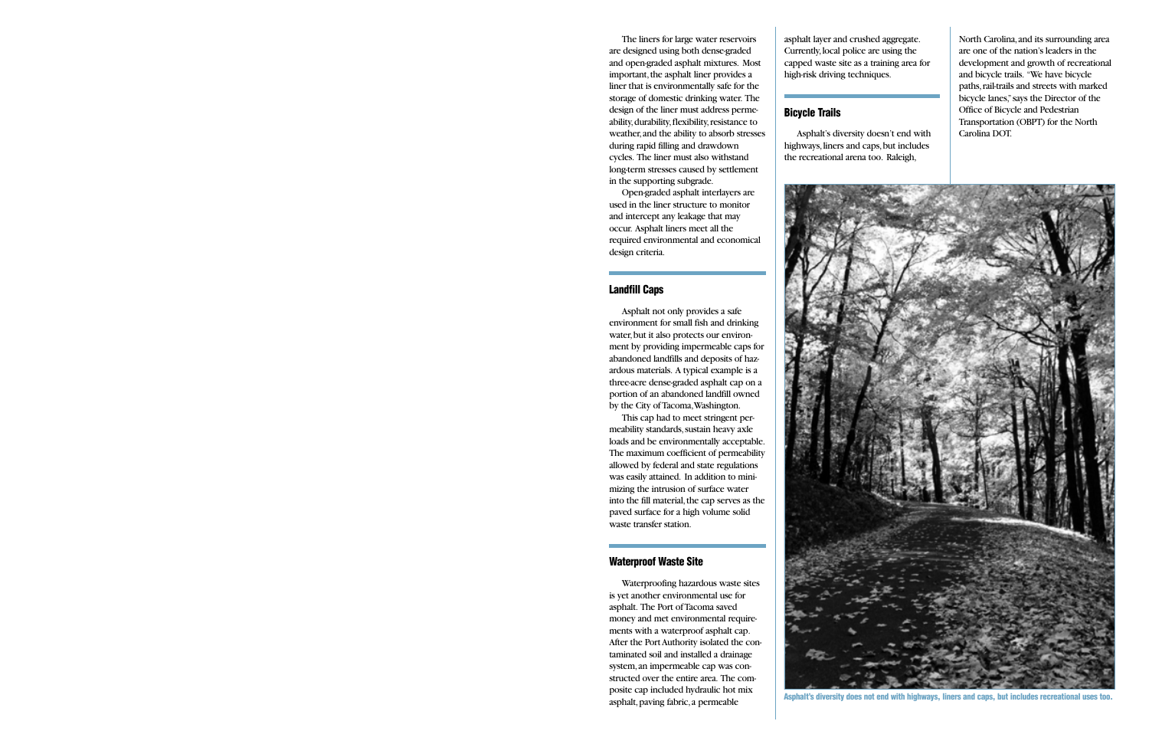The liners for large water reservoirs are designed using both dense-graded and open-graded asphalt mixtures. Most important, the asphalt liner provides a liner that is environmentally safe for the storage of domestic drinking water. The design of the liner must address permeability, durability, flexibility, resistance to weather,and the ability to absorb stresses during rapid filling and drawdown cycles. The liner must also withstand long-term stresses caused by settlement in the supporting subgrade.

Open-graded asphalt interlayers are used in the liner structure to monitor and intercept any leakage that may occur. Asphalt liners meet all the required environmental and economical design criteria.

### **Landfill Caps**

Asphalt not only provides a safe environment for small fish and drinking water, but it also protects our environment by providing impermeable caps for abandoned landfills and deposits of hazardous materials. A typical example is a three-acre dense-graded asphalt cap on a portion of an abandoned landfill owned by the City of Tacoma,Washington.

This cap had to meet stringent permeability standards, sustain heavy axle loads and be environmentally acceptable. The maximum coefficient of permeability allowed by federal and state regulations was easily attained. In addition to minimizing the intrusion of surface water into the fill material, the cap serves as the paved surface for a high volume solid waste transfer station.

### **Waterproof Waste Site**

Waterproofing hazardous waste sites is yet another environmental use for asphalt. The Port of Tacoma saved money and met environmental requirements with a waterproof asphalt cap. After the Port Authority isolated the contaminated soil and installed a drainage system,an impermeable cap was constructed over the entire area. The composite cap included hydraulic hot mix asphalt, paving fabric, a permeable

asphalt layer and crushed aggregate. Currently,local police are using the capped waste site as a training area for high-risk driving techniques.

### **Bicycle Trails**

Asphalt's diversity doesn't end with highways, liners and caps, but includes the recreational arena too. Raleigh,

North Carolina,and its surrounding area are one of the nation's leaders in the development and growth of recreational and bicycle trails. "We have bicycle paths, rail-trails and streets with marked bicycle lanes,"says the Director of the Office of Bicycle and Pedestrian Transportation (OBPT) for the North Carolina DOT.



**Asphalt's diversity does not end with highways, liners and caps, but includes recreational uses too.**